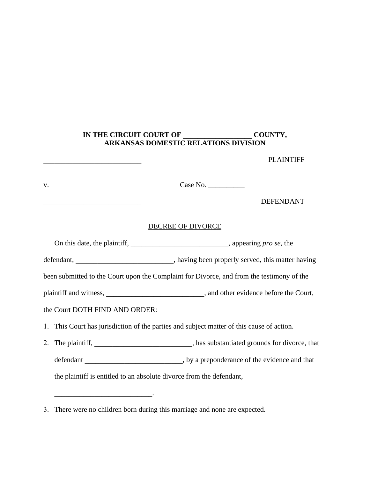## **IN THE CIRCUIT COURT OF \_\_\_\_\_\_\_\_\_\_\_\_\_\_\_\_\_\_\_ COUNTY, ARKANSAS DOMESTIC RELATIONS DIVISION**

PLAINTIFF

| V.                                                                                        | Case No.                                                                                    |
|-------------------------------------------------------------------------------------------|---------------------------------------------------------------------------------------------|
| the control of the control of the control of the control of the control of                | <b>DEFENDANT</b>                                                                            |
|                                                                                           | <b>DECREE OF DIVORCE</b>                                                                    |
|                                                                                           | On this date, the plaintiff, _________________________________, appearing pro se, the       |
|                                                                                           |                                                                                             |
| been submitted to the Court upon the Complaint for Divorce, and from the testimony of the |                                                                                             |
|                                                                                           |                                                                                             |
| the Court DOTH FIND AND ORDER:                                                            |                                                                                             |
| 1. This Court has jurisdiction of the parties and subject matter of this cause of action. |                                                                                             |
| 2.                                                                                        | The plaintiff, _______________________________, has substantiated grounds for divorce, that |
|                                                                                           |                                                                                             |
|                                                                                           | the plaintiff is entitled to an absolute divorce from the defendant,                        |
|                                                                                           |                                                                                             |

3. There were no children born during this marriage and none are expected.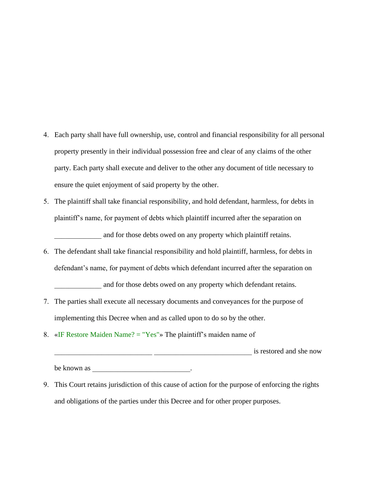- 4. Each party shall have full ownership, use, control and financial responsibility for all personal property presently in their individual possession free and clear of any claims of the other party. Each party shall execute and deliver to the other any document of title necessary to ensure the quiet enjoyment of said property by the other.
- 5. The plaintiff shall take financial responsibility, and hold defendant, harmless, for debts in plaintiff's name, for payment of debts which plaintiff incurred after the separation on and for those debts owed on any property which plaintiff retains.
- 6. The defendant shall take financial responsibility and hold plaintiff, harmless, for debts in defendant's name, for payment of debts which defendant incurred after the separation on

and for those debts owed on any property which defendant retains.

- 7. The parties shall execute all necessary documents and conveyances for the purpose of implementing this Decree when and as called upon to do so by the other.
- 8. «IF Restore Maiden Name?  $=$  "Yes"» The plaintiff's maiden name of

**Example 2.1 Example 2.1 is restored and she now** 

be known as \_\_\_\_\_\_\_\_\_\_\_\_\_\_\_\_\_\_\_\_\_\_\_\_\_\_\_.

9. This Court retains jurisdiction of this cause of action for the purpose of enforcing the rights and obligations of the parties under this Decree and for other proper purposes.